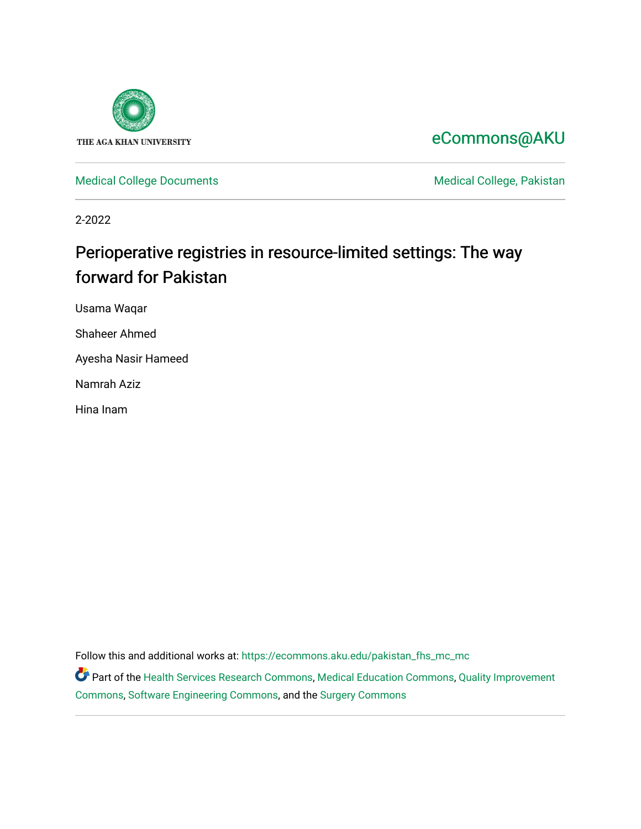

[eCommons@AKU](https://ecommons.aku.edu/) 

[Medical College Documents](https://ecommons.aku.edu/pakistan_fhs_mc_mc) **Medical College, Pakistan** 

2-2022

# Perioperative registries in resource-limited settings: The way forward for Pakistan

Usama Waqar

Shaheer Ahmed

Ayesha Nasir Hameed

Namrah Aziz

Hina Inam

Follow this and additional works at: [https://ecommons.aku.edu/pakistan\\_fhs\\_mc\\_mc](https://ecommons.aku.edu/pakistan_fhs_mc_mc?utm_source=ecommons.aku.edu%2Fpakistan_fhs_mc_mc%2F253&utm_medium=PDF&utm_campaign=PDFCoverPages) 

Part of the [Health Services Research Commons,](http://network.bepress.com/hgg/discipline/816?utm_source=ecommons.aku.edu%2Fpakistan_fhs_mc_mc%2F253&utm_medium=PDF&utm_campaign=PDFCoverPages) [Medical Education Commons,](http://network.bepress.com/hgg/discipline/1125?utm_source=ecommons.aku.edu%2Fpakistan_fhs_mc_mc%2F253&utm_medium=PDF&utm_campaign=PDFCoverPages) [Quality Improvement](http://network.bepress.com/hgg/discipline/1430?utm_source=ecommons.aku.edu%2Fpakistan_fhs_mc_mc%2F253&utm_medium=PDF&utm_campaign=PDFCoverPages) [Commons](http://network.bepress.com/hgg/discipline/1430?utm_source=ecommons.aku.edu%2Fpakistan_fhs_mc_mc%2F253&utm_medium=PDF&utm_campaign=PDFCoverPages), [Software Engineering Commons,](http://network.bepress.com/hgg/discipline/150?utm_source=ecommons.aku.edu%2Fpakistan_fhs_mc_mc%2F253&utm_medium=PDF&utm_campaign=PDFCoverPages) and the [Surgery Commons](http://network.bepress.com/hgg/discipline/706?utm_source=ecommons.aku.edu%2Fpakistan_fhs_mc_mc%2F253&utm_medium=PDF&utm_campaign=PDFCoverPages)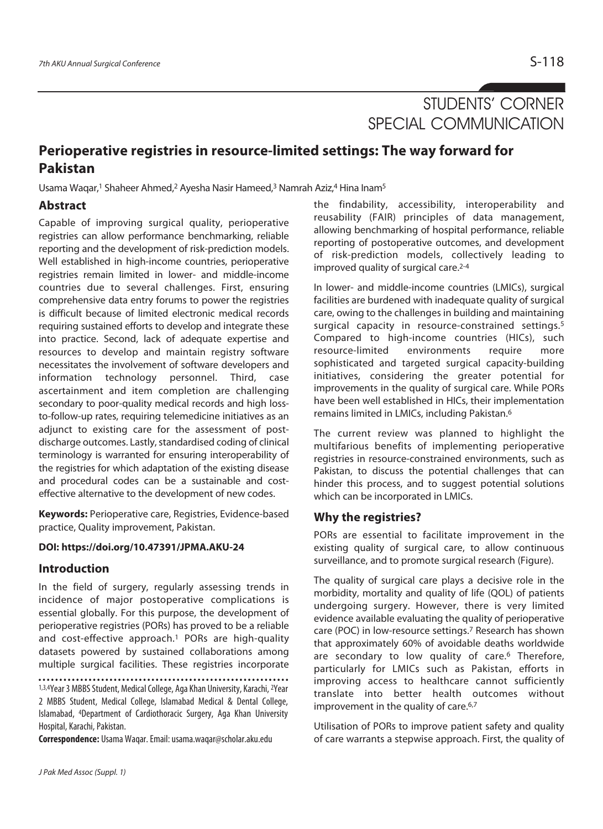# STUDENTS' CORNER SPECIAL COMMUNICATION

# **Perioperative registries in resource-limited settings: The way forward for Pakistan**

Usama Waqar,<sup>1</sup> Shaheer Ahmed,<sup>2</sup> Ayesha Nasir Hameed,<sup>3</sup> Namrah Aziz,<sup>4</sup> Hina Inam<sup>5</sup>

# **Abstract**

Capable of improving surgical quality, perioperative registries can allow performance benchmarking, reliable reporting and the development of risk-prediction models. Well established in high-income countries, perioperative registries remain limited in lower- and middle-income countries due to several challenges. First, ensuring comprehensive data entry forums to power the registries is difficult because of limited electronic medical records requiring sustained efforts to develop and integrate these into practice. Second, lack of adequate expertise and resources to develop and maintain registry software necessitates the involvement of software developers and information technology personnel. Third, case ascertainment and item completion are challenging secondary to poor-quality medical records and high lossto-follow-up rates, requiring telemedicine initiatives as an adjunct to existing care for the assessment of postdischarge outcomes. Lastly, standardised coding of clinical terminology is warranted for ensuring interoperability of the registries for which adaptation of the existing disease and procedural codes can be a sustainable and costeffective alternative to the development of new codes.

**Keywords:** Perioperative care, Registries, Evidence-based practice, Quality improvement, Pakistan.

# **DOI: https://doi.org/10.47391/JPMA.AKU-24**

# **Introduction**

In the field of surgery, regularly assessing trends in incidence of major postoperative complications is essential globally. For this purpose, the development of perioperative registries (PORs) has proved to be a reliable and cost-effective approach.<sup>1</sup> PORs are high-quality datasets powered by sustained collaborations among multiple surgical facilities. These registries incorporate

1,3,4Year 3 MBBS Student, Medical College, Aga Khan University, Karachi, 2Year 2 MBBS Student, Medical College, Islamabad Medical & Dental College, Islamabad, 4Department of Cardiothoracic Surgery, Aga Khan University Hospital, Karachi, Pakistan.

**Correspondence:** Usama Waqar. Email: usama.waqar@scholar.aku.edu

the findability, accessibility, interoperability and reusability (FAIR) principles of data management, allowing benchmarking of hospital performance, reliable reporting of postoperative outcomes, and development of risk-prediction models, collectively leading to improved quality of surgical care.2-4

In lower- and middle-income countries (LMICs), surgical facilities are burdened with inadequate quality of surgical care, owing to the challenges in building and maintaining surgical capacity in resource-constrained settings.<sup>5</sup> Compared to high-income countries (HICs), such resource-limited environments require more sophisticated and targeted surgical capacity-building initiatives, considering the greater potential for improvements in the quality of surgical care. While PORs have been well established in HICs, their implementation remains limited in LMICs, including Pakistan.6

The current review was planned to highlight the multifarious benefits of implementing perioperative registries in resource-constrained environments, such as Pakistan, to discuss the potential challenges that can hinder this process, and to suggest potential solutions which can be incorporated in LMICs.

# **Why the registries?**

PORs are essential to facilitate improvement in the existing quality of surgical care, to allow continuous surveillance, and to promote surgical research (Figure).

The quality of surgical care plays a decisive role in the morbidity, mortality and quality of life (QOL) of patients undergoing surgery. However, there is very limited evidence available evaluating the quality of perioperative care (POC) in low-resource settings.7 Research has shown that approximately 60% of avoidable deaths worldwide are secondary to low quality of care.<sup>6</sup> Therefore, particularly for LMICs such as Pakistan, efforts in improving access to healthcare cannot sufficiently translate into better health outcomes without improvement in the quality of care.<sup>6,7</sup>

Utilisation of PORs to improve patient safety and quality of care warrants a stepwise approach. First, the quality of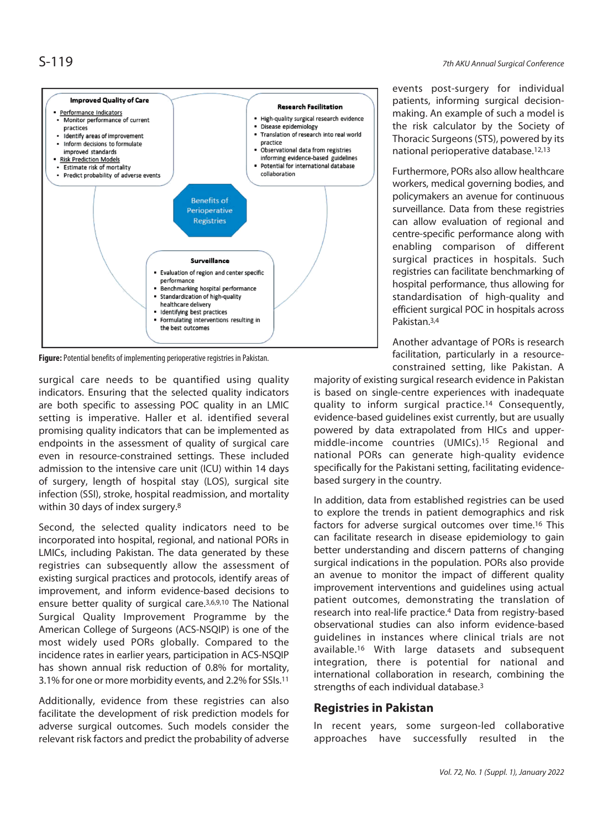

**Figure:** Potential benefits of implementing perioperative registries in Pakistan.

surgical care needs to be quantified using quality indicators. Ensuring that the selected quality indicators are both specific to assessing POC quality in an LMIC setting is imperative. Haller et al. identified several promising quality indicators that can be implemented as endpoints in the assessment of quality of surgical care even in resource-constrained settings. These included admission to the intensive care unit (ICU) within 14 days of surgery, length of hospital stay (LOS), surgical site infection (SSI), stroke, hospital readmission, and mortality within 30 days of index surgery.8

Second, the selected quality indicators need to be incorporated into hospital, regional, and national PORs in LMICs, including Pakistan. The data generated by these registries can subsequently allow the assessment of existing surgical practices and protocols, identify areas of improvement, and inform evidence-based decisions to ensure better quality of surgical care.3,6,9,10 The National Surgical Quality Improvement Programme by the American College of Surgeons (ACS-NSQIP) is one of the most widely used PORs globally. Compared to the incidence rates in earlier years, participation in ACS-NSQIP has shown annual risk reduction of 0.8% for mortality, 3.1% for one or more morbidity events, and 2.2% for SSIs.11

Additionally, evidence from these registries can also facilitate the development of risk prediction models for adverse surgical outcomes. Such models consider the relevant risk factors and predict the probability of adverse

events post-surgery for individual patients, informing surgical decisionmaking. An example of such a model is the risk calculator by the Society of Thoracic Surgeons (STS), powered by its national perioperative database.12,13

Furthermore, PORs also allow healthcare workers, medical governing bodies, and policymakers an avenue for continuous surveillance. Data from these registries can allow evaluation of regional and centre-specific performance along with enabling comparison of different surgical practices in hospitals. Such registries can facilitate benchmarking of hospital performance, thus allowing for standardisation of high-quality and efficient surgical POC in hospitals across Pakistan.3,4

Another advantage of PORs is research facilitation, particularly in a resourceconstrained setting, like Pakistan. A

majority of existing surgical research evidence in Pakistan is based on single-centre experiences with inadequate quality to inform surgical practice.14 Consequently, evidence-based guidelines exist currently, but are usually powered by data extrapolated from HICs and uppermiddle-income countries (UMICs).15 Regional and national PORs can generate high-quality evidence specifically for the Pakistani setting, facilitating evidencebased surgery in the country.

In addition, data from established registries can be used to explore the trends in patient demographics and risk factors for adverse surgical outcomes over time.16 This can facilitate research in disease epidemiology to gain better understanding and discern patterns of changing surgical indications in the population. PORs also provide an avenue to monitor the impact of different quality improvement interventions and guidelines using actual patient outcomes, demonstrating the translation of research into real-life practice.4 Data from registry-based observational studies can also inform evidence-based guidelines in instances where clinical trials are not available.16 With large datasets and subsequent integration, there is potential for national and international collaboration in research, combining the strengths of each individual database.3

# **Registries in Pakistan**

In recent years, some surgeon-led collaborative approaches have successfully resulted in the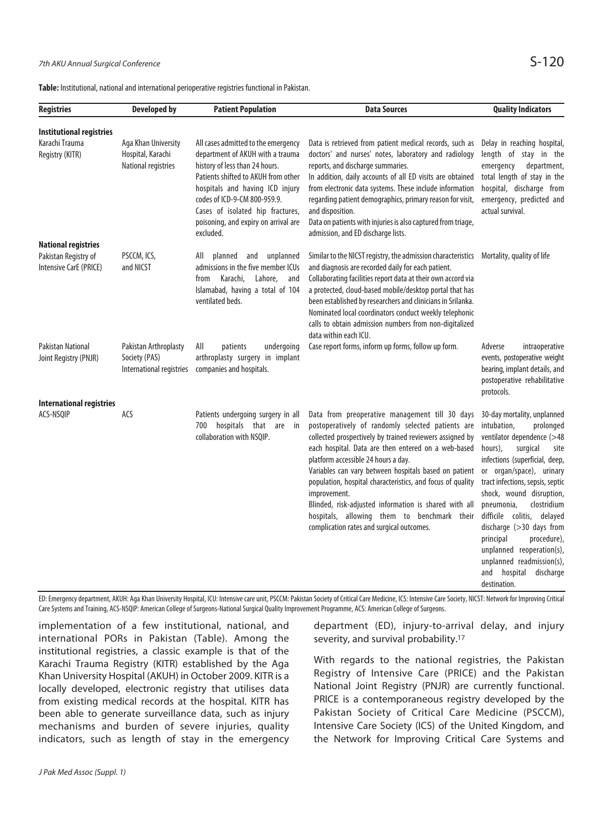| <b>Registries</b>                                 | <b>Developed by</b>                                                | <b>Patient Population</b>                                                                                                                                                                                                                                                                                    | <b>Data Sources</b>                                                                                                                                                                                                                                                                                                                                                                                                                                                                                                                                       | <b>Quality Indicators</b>                                                                                                                                                                                                                                                                                                                                                                                                                                                       |
|---------------------------------------------------|--------------------------------------------------------------------|--------------------------------------------------------------------------------------------------------------------------------------------------------------------------------------------------------------------------------------------------------------------------------------------------------------|-----------------------------------------------------------------------------------------------------------------------------------------------------------------------------------------------------------------------------------------------------------------------------------------------------------------------------------------------------------------------------------------------------------------------------------------------------------------------------------------------------------------------------------------------------------|---------------------------------------------------------------------------------------------------------------------------------------------------------------------------------------------------------------------------------------------------------------------------------------------------------------------------------------------------------------------------------------------------------------------------------------------------------------------------------|
| <b>Institutional registries</b>                   |                                                                    |                                                                                                                                                                                                                                                                                                              |                                                                                                                                                                                                                                                                                                                                                                                                                                                                                                                                                           |                                                                                                                                                                                                                                                                                                                                                                                                                                                                                 |
| Karachi Trauma<br>Registry (KITR)                 | Aga Khan University<br>Hospital, Karachi<br>National registries    | All cases admitted to the emergency<br>department of AKUH with a trauma<br>history of less than 24 hours.<br>Patients shifted to AKUH from other<br>hospitals and having ICD injury<br>codes of ICD-9-CM 800-959.9.<br>Cases of isolated hip fractures,<br>poisoning, and expiry on arrival are<br>excluded. | Data is retrieved from patient medical records, such as<br>doctors' and nurses' notes, laboratory and radiology<br>reports, and discharge summaries.<br>In addition, daily accounts of all ED visits are obtained<br>from electronic data systems. These include information<br>regarding patient demographics, primary reason for visit,<br>and disposition.<br>Data on patients with injuries is also captured from triage,<br>admission, and ED discharge lists.                                                                                       | Delay in reaching hospital,<br>length of stay in the<br>emergency<br>department,<br>total length of stay in the<br>hospital, discharge from<br>emergency, predicted and<br>actual survival.                                                                                                                                                                                                                                                                                     |
| <b>National registries</b>                        |                                                                    |                                                                                                                                                                                                                                                                                                              |                                                                                                                                                                                                                                                                                                                                                                                                                                                                                                                                                           |                                                                                                                                                                                                                                                                                                                                                                                                                                                                                 |
| Pakistan Registry of<br>Intensive CarE (PRICE)    | PSCCM, ICS,<br>and NICST                                           | unplanned<br>AII<br>planned<br>and<br>admissions in the five member ICUs<br>Karachi,<br>Lahore,<br>from<br>and<br>Islamabad, having a total of 104<br>ventilated beds.                                                                                                                                       | Similar to the NICST registry, the admission characteristics Mortality, quality of life<br>and diagnosis are recorded daily for each patient.<br>Collaborating facilities report data at their own accord via<br>a protected, cloud-based mobile/desktop portal that has<br>been established by researchers and clinicians in Srilanka.<br>Nominated local coordinators conduct weekly telephonic<br>calls to obtain admission numbers from non-digitalized<br>data within each ICU.                                                                      |                                                                                                                                                                                                                                                                                                                                                                                                                                                                                 |
| <b>Pakistan National</b><br>Joint Registry (PNJR) | Pakistan Arthroplasty<br>Society (PAS)<br>International registries | All<br>undergoing<br>patients<br>arthroplasty surgery in implant<br>companies and hospitals.                                                                                                                                                                                                                 | Case report forms, inform up forms, follow up form.                                                                                                                                                                                                                                                                                                                                                                                                                                                                                                       | Adverse<br>intraoperative<br>events, postoperative weight<br>bearing, implant details, and<br>postoperative rehabilitative<br>protocols.                                                                                                                                                                                                                                                                                                                                        |
| <b>International registries</b><br>ACS-NSOIP      | ACS                                                                | Patients undergoing surgery in all<br>700 hospitals that are in<br>collaboration with NSQIP.                                                                                                                                                                                                                 | Data from preoperative management till 30 days<br>postoperatively of randomly selected patients are<br>collected prospectively by trained reviewers assigned by<br>each hospital. Data are then entered on a web-based<br>platform accessible 24 hours a day.<br>Variables can vary between hospitals based on patient<br>population, hospital characteristics, and focus of quality<br>improvement.<br>Blinded, risk-adjusted information is shared with all<br>hospitals, allowing them to benchmark their<br>complication rates and surgical outcomes. | 30-day mortality, unplanned<br>intubation,<br>prolonged<br>ventilator dependence (>48<br>hours),<br>surgical<br>site<br>infections (superficial, deep,<br>or organ/space), urinary<br>tract infections, sepsis, septic<br>shock, wound disruption,<br>pneumonia,<br>clostridium<br>difficile colitis,<br>delayed<br>discharge (>30 days from<br>principal<br>procedure),<br>unplanned reoperation(s),<br>unplanned readmission(s),<br>and hospital<br>discharge<br>destination. |

ED: Emergency department, AKUH: Aga Khan University Hospital, ICU: Intensive care unit, PSCCM: Pakistan Society of Critical Care Medicine, ICS: Intensive Care Society, NICST: Network for Improving Critical Care Systems and Training, ACS-NSQIP: American College of Surgeons-National Surgical Quality Improvement Programme, ACS: American College of Surgeons.

implementation of a few institutional, national, and international PORs in Pakistan (Table). Among the institutional registries, a classic example is that of the Karachi Trauma Registry (KITR) established by the Aga Khan University Hospital (AKUH) in October 2009. KITR is a locally developed, electronic registry that utilises data from existing medical records at the hospital. KITR has been able to generate surveillance data, such as injury mechanisms and burden of severe injuries, quality indicators, such as length of stay in the emergency department (ED), injury-to-arrival delay, and injury severity, and survival probability.<sup>17</sup>

With regards to the national registries, the Pakistan Registry of Intensive Care (PRICE) and the Pakistan National Joint Registry (PNJR) are currently functional. PRICE is a contemporaneous registry developed by the Pakistan Society of Critical Care Medicine (PSCCM), Intensive Care Society (ICS) of the United Kingdom, and the Network for Improving Critical Care Systems and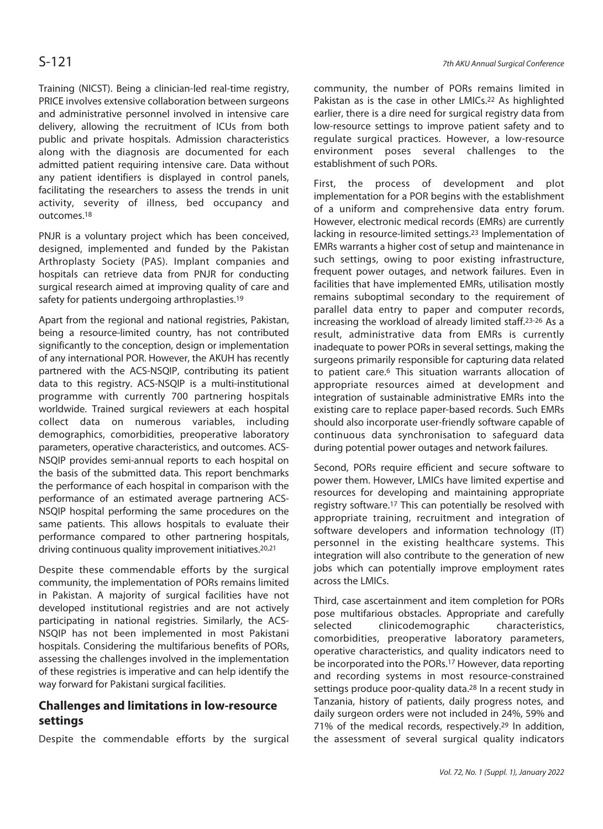Training (NICST). Being a clinician-led real-time registry, PRICE involves extensive collaboration between surgeons and administrative personnel involved in intensive care delivery, allowing the recruitment of ICUs from both public and private hospitals. Admission characteristics along with the diagnosis are documented for each admitted patient requiring intensive care. Data without any patient identifiers is displayed in control panels, facilitating the researchers to assess the trends in unit activity, severity of illness, bed occupancy and outcomes.18

PNJR is a voluntary project which has been conceived, designed, implemented and funded by the Pakistan Arthroplasty Society (PAS). Implant companies and hospitals can retrieve data from PNJR for conducting surgical research aimed at improving quality of care and safety for patients undergoing arthroplasties.<sup>19</sup>

Apart from the regional and national registries, Pakistan, being a resource-limited country, has not contributed significantly to the conception, design or implementation of any international POR. However, the AKUH has recently partnered with the ACS-NSQIP, contributing its patient data to this registry. ACS-NSQIP is a multi-institutional programme with currently 700 partnering hospitals worldwide. Trained surgical reviewers at each hospital collect data on numerous variables, including demographics, comorbidities, preoperative laboratory parameters, operative characteristics, and outcomes. ACS-NSQIP provides semi-annual reports to each hospital on the basis of the submitted data. This report benchmarks the performance of each hospital in comparison with the performance of an estimated average partnering ACS-NSQIP hospital performing the same procedures on the same patients. This allows hospitals to evaluate their performance compared to other partnering hospitals, driving continuous quality improvement initiatives.<sup>20,21</sup>

Despite these commendable efforts by the surgical community, the implementation of PORs remains limited in Pakistan. A majority of surgical facilities have not developed institutional registries and are not actively participating in national registries. Similarly, the ACS-NSQIP has not been implemented in most Pakistani hospitals. Considering the multifarious benefits of PORs, assessing the challenges involved in the implementation of these registries is imperative and can help identify the way forward for Pakistani surgical facilities.

# **Challenges and limitations in low-resource settings**

Despite the commendable efforts by the surgical

community, the number of PORs remains limited in Pakistan as is the case in other LMICs.<sup>22</sup> As highlighted earlier, there is a dire need for surgical registry data from low-resource settings to improve patient safety and to regulate surgical practices. However, a low-resource environment poses several challenges to the establishment of such PORs.

First, the process of development and plot implementation for a POR begins with the establishment of a uniform and comprehensive data entry forum. However, electronic medical records (EMRs) are currently lacking in resource-limited settings.23 Implementation of EMRs warrants a higher cost of setup and maintenance in such settings, owing to poor existing infrastructure, frequent power outages, and network failures. Even in facilities that have implemented EMRs, utilisation mostly remains suboptimal secondary to the requirement of parallel data entry to paper and computer records, increasing the workload of already limited staff.23-26 As a result, administrative data from EMRs is currently inadequate to power PORs in several settings, making the surgeons primarily responsible for capturing data related to patient care.6 This situation warrants allocation of appropriate resources aimed at development and integration of sustainable administrative EMRs into the existing care to replace paper-based records. Such EMRs should also incorporate user-friendly software capable of continuous data synchronisation to safeguard data during potential power outages and network failures.

Second, PORs require efficient and secure software to power them. However, LMICs have limited expertise and resources for developing and maintaining appropriate registry software.17 This can potentially be resolved with appropriate training, recruitment and integration of software developers and information technology (IT) personnel in the existing healthcare systems. This integration will also contribute to the generation of new jobs which can potentially improve employment rates across the LMICs.

Third, case ascertainment and item completion for PORs pose multifarious obstacles. Appropriate and carefully selected clinicodemographic characteristics, comorbidities, preoperative laboratory parameters, operative characteristics, and quality indicators need to be incorporated into the PORs.17 However, data reporting and recording systems in most resource-constrained settings produce poor-quality data.<sup>28</sup> In a recent study in Tanzania, history of patients, daily progress notes, and daily surgeon orders were not included in 24%, 59% and 71% of the medical records, respectively.29 In addition, the assessment of several surgical quality indicators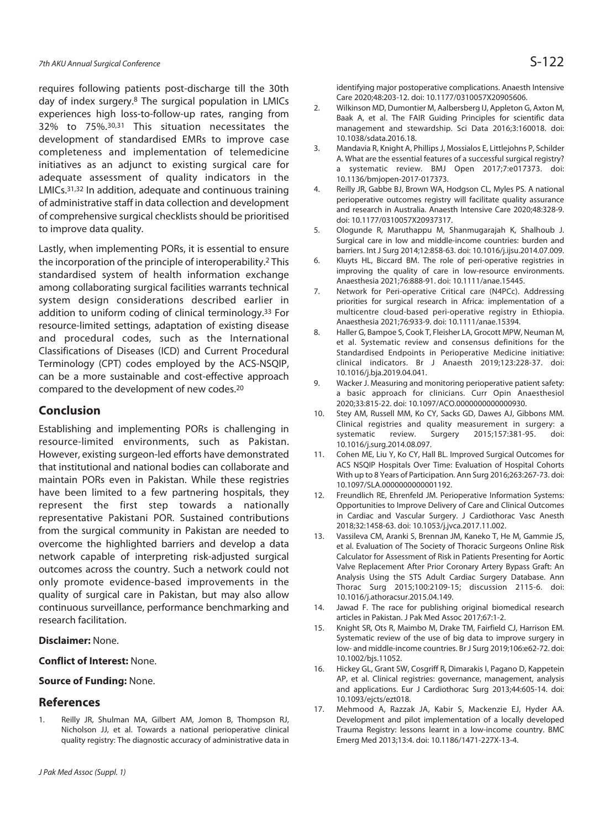requires following patients post-discharge till the 30th day of index surgery.8 The surgical population in LMICs experiences high loss-to-follow-up rates, ranging from 32% to 75%.30,31 This situation necessitates the development of standardised EMRs to improve case completeness and implementation of telemedicine initiatives as an adjunct to existing surgical care for adequate assessment of quality indicators in the LMICs.31,32 In addition, adequate and continuous training of administrative staff in data collection and development of comprehensive surgical checklists should be prioritised to improve data quality.

Lastly, when implementing PORs, it is essential to ensure the incorporation of the principle of interoperability.2 This standardised system of health information exchange among collaborating surgical facilities warrants technical system design considerations described earlier in addition to uniform coding of clinical terminology.33 For resource-limited settings, adaptation of existing disease and procedural codes, such as the International Classifications of Diseases (ICD) and Current Procedural Terminology (CPT) codes employed by the ACS-NSQIP, can be a more sustainable and cost-effective approach compared to the development of new codes.20

# **Conclusion**

Establishing and implementing PORs is challenging in resource-limited environments, such as Pakistan. However, existing surgeon-led efforts have demonstrated that institutional and national bodies can collaborate and maintain PORs even in Pakistan. While these registries have been limited to a few partnering hospitals, they represent the first step towards a nationally representative Pakistani POR. Sustained contributions from the surgical community in Pakistan are needed to overcome the highlighted barriers and develop a data network capable of interpreting risk-adjusted surgical outcomes across the country. Such a network could not only promote evidence-based improvements in the quality of surgical care in Pakistan, but may also allow continuous surveillance, performance benchmarking and research facilitation.

### **Disclaimer:** None.

## **Conflict of Interest:** None.

### **Source of Funding:** None.

# **References**

1. Reilly JR, Shulman MA, Gilbert AM, Jomon B, Thompson RJ, Nicholson JJ, et al. Towards a national perioperative clinical quality registry: The diagnostic accuracy of administrative data in identifying major postoperative complications. Anaesth Intensive Care 2020;48:203-12. doi: 10.1177/0310057X20905606.

- 2. Wilkinson MD, Dumontier M, Aalbersberg IJ, Appleton G, Axton M, Baak A, et al. The FAIR Guiding Principles for scientific data management and stewardship. Sci Data 2016;3:160018. doi: 10.1038/sdata.2016.18.
- 3. Mandavia R, Knight A, Phillips J, Mossialos E, Littlejohns P, Schilder A. What are the essential features of a successful surgical registry? a systematic review. BMJ Open 2017;7:e017373. doi: 10.1136/bmjopen-2017-017373.
- 4. Reilly JR, Gabbe BJ, Brown WA, Hodgson CL, Myles PS. A national perioperative outcomes registry will facilitate quality assurance and research in Australia. Anaesth Intensive Care 2020;48:328-9. doi: 10.1177/0310057X20937317.
- 5. Ologunde R, Maruthappu M, Shanmugarajah K, Shalhoub J. Surgical care in low and middle-income countries: burden and barriers. Int J Surg 2014;12:858-63. doi: 10.1016/j.ijsu.2014.07.009.
- 6. Kluyts HL, Biccard BM. The role of peri-operative registries in improving the quality of care in low-resource environments. Anaesthesia 2021;76:888-91. doi: 10.1111/anae.15445.
- 7. Network for Peri-operative Critical care (N4PCc). Addressing priorities for surgical research in Africa: implementation of a multicentre cloud-based peri-operative registry in Ethiopia. Anaesthesia 2021;76:933-9. doi: 10.1111/anae.15394.
- 8. Haller G, Bampoe S, Cook T, Fleisher LA, Grocott MPW, Neuman M, et al. Systematic review and consensus definitions for the Standardised Endpoints in Perioperative Medicine initiative: clinical indicators. Br J Anaesth 2019;123:228-37. doi: 10.1016/j.bja.2019.04.041.
- 9. Wacker J. Measuring and monitoring perioperative patient safety: a basic approach for clinicians. Curr Opin Anaesthesiol 2020;33:815-22. doi: 10.1097/ACO.0000000000000930.
- 10. Stey AM, Russell MM, Ko CY, Sacks GD, Dawes AJ, Gibbons MM. Clinical registries and quality measurement in surgery: a systematic review. Surgery 2015;157:381-95. doi: 10.1016/j.surg.2014.08.097.
- 11. Cohen ME, Liu Y, Ko CY, Hall BL. Improved Surgical Outcomes for ACS NSQIP Hospitals Over Time: Evaluation of Hospital Cohorts With up to 8 Years of Participation. Ann Surg 2016;263:267-73. doi: 10.1097/SLA.0000000000001192.
- 12. Freundlich RE, Ehrenfeld JM. Perioperative Information Systems: Opportunities to Improve Delivery of Care and Clinical Outcomes in Cardiac and Vascular Surgery. J Cardiothorac Vasc Anesth 2018;32:1458-63. doi: 10.1053/j.jvca.2017.11.002.
- 13. Vassileva CM, Aranki S, Brennan JM, Kaneko T, He M, Gammie JS, et al. Evaluation of The Society of Thoracic Surgeons Online Risk Calculator for Assessment of Risk in Patients Presenting for Aortic Valve Replacement After Prior Coronary Artery Bypass Graft: An Analysis Using the STS Adult Cardiac Surgery Database. Ann Thorac Surg 2015;100:2109-15; discussion 2115-6. doi: 10.1016/j.athoracsur.2015.04.149.
- 14. Jawad F. The race for publishing original biomedical research articles in Pakistan. J Pak Med Assoc 2017;67:1-2.
- 15. Knight SR, Ots R, Maimbo M, Drake TM, Fairfield CJ, Harrison EM. Systematic review of the use of big data to improve surgery in low- and middle-income countries. Br J Surg 2019;106:e62-72. doi: 10.1002/bjs.11052.
- 16. Hickey GL, Grant SW, Cosgriff R, Dimarakis I, Pagano D, Kappetein AP, et al. Clinical registries: governance, management, analysis and applications. Eur J Cardiothorac Surg 2013;44:605-14. doi: 10.1093/ejcts/ezt018.
- 17. Mehmood A, Razzak JA, Kabir S, Mackenzie EJ, Hyder AA. Development and pilot implementation of a locally developed Trauma Registry: lessons learnt in a low-income country. BMC Emerg Med 2013;13:4. doi: 10.1186/1471-227X-13-4.